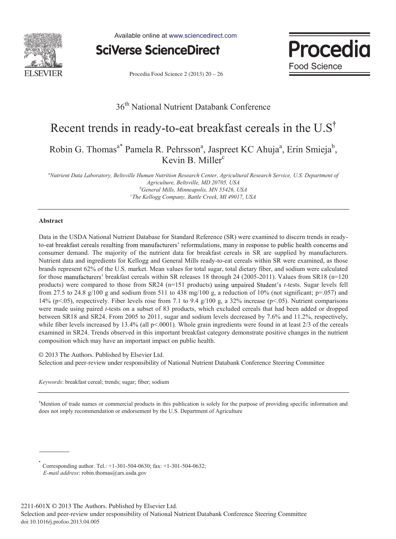

Available online at www.sciencedirect.com



Procedia Food Science 2 (2013) 20 - 26



# 36<sup>th</sup> National Nutrient Databank Conference

# Recent trends in ready-to-eat breakfast cereals in the U.S Robin G. Thomas<sup>a\*</sup> Pamela R. Pehrsson<sup>a</sup>, Jaspreet KC Ahuja<sup>a</sup>, Erin Smieja<sup>b</sup>, Kevin B. Miller<sup>c</sup>

*a Nutrient Data Laboratory, Beltsville Human Nutrition Research Center, Agricultural Research Service, U.S. Department of Agriculture, Beltsville, MD 20705, USA b General Mills, Minneapolis, MN 55426, USA c The Kellogg Company, Battle Creek, MI 49017, USA* 

# **Abstract**

Data in the USDA National Nutrient Database for Standard Reference (SR) were examined to discern trends in readyto-eat breakfast cereals resulting from manufacturers' reformulations, many in response to public health concerns and consumer demand. The majority of the nutrient data for breakfast cereals in SR are supplied by manufacturers. Nutrient data and ingredients for Kellogg and General Mills ready-to-eat cereals within SR were examined, as those brands represent 62% of the U.S. market. Mean values for total sugar, total dietary fiber, and sodium were calculated for those manufacturers' breakfast cereals within SR releases 18 through 24 (2005-2011). Values from SR18 (n=120 products) were compared to those from SR24 (n=151 products) using unpaired Student's *t*-tests. Sugar levels fell from 27.5 to 24.8 g/100 g and sodium from 511 to 438 mg/100 g, a reduction of 10% (not significant;  $p=0.057$ ) and 14% (p<.05), respectively. Fiber levels rose from 7.1 to 9.4 g/100 g, a 32% increase (p<.05). Nutrient comparisons were made using paired *t*-tests on a subset of 83 products, which excluded cereals that had been added or dropped between SR18 and SR24. From 2005 to 2011, sugar and sodium levels decreased by 7.6% and 11.2%, respectively, while fiber levels increased by 13.4% (all  $p<0001$ ). Whole grain ingredients were found in at least 2/3 of the cereals examined in SR24. Trends observed in this important breakfast category demonstrate positive changes in the nutrient composition which may have an important impact on public health.

© 2013 The Authors. Published by Elsevier Ltd. Selection and persons in the National Selection and persons in the National Selection and persons in the National Selection and persons in the National Selection and persons i Selection and peer-review under responsibility of National Nutrient Databank Conference Steering Committee

*Keywords*: breakfast cereal; trends; sugar; fiber; sodium

<sup>†</sup>Mention of trade names or commercial products in this publication is solely for the purpose of providing specific information and does not imply recommendation or endorsement by the U.S. Department of Agriculture

Corresponding author. Tel.:  $+1-301-504-0630$ ; fax:  $+1-301-504-0632$ ;  *E-mail address*: robin.thomas@ars.usda.gov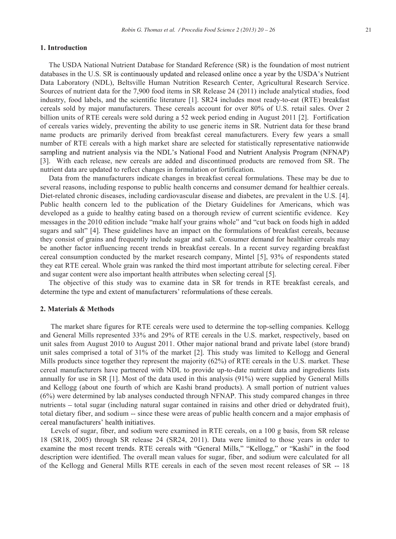#### **1. Introduction**

The USDA National Nutrient Database for Standard Reference (SR) is the foundation of most nutrient databases in the U.S. SR is continuously updated and released online once a year by the USDA's Nutrient Data Laboratory (NDL), Beltsville Human Nutrition Research Center, Agricultural Research Service. Sources of nutrient data for the 7,900 food items in SR Release 24 (2011) include analytical studies, food industry, food labels, and the scientific literature [1]. SR24 includes most ready-to-eat (RTE) breakfast cereals sold by major manufacturers. These cereals account for over 80% of U.S. retail sales. Over 2 billion units of RTE cereals were sold during a 52 week period ending in August 2011 [2]. Fortification of cereals varies widely, preventing the ability to use generic items in SR. Nutrient data for these brand name products are primarily derived from breakfast cereal manufacturers. Every few years a small number of RTE cereals with a high market share are selected for statistically representative nationwide sampling and nutrient analysis via the NDL's National Food and Nutrient Analysis Program (NFNAP) [3]. With each release, new cereals are added and discontinued products are removed from SR. The nutrient data are updated to reflect changes in formulation or fortification.

Data from the manufacturers indicate changes in breakfast cereal formulations. These may be due to several reasons, including response to public health concerns and consumer demand for healthier cereals. Diet-related chronic diseases, including cardiovascular disease and diabetes, are prevalent in the U.S. [4]. Public health concern led to the publication of the Dietary Guidelines for Americans, which was developed as a guide to healthy eating based on a thorough review of current scientific evidence. Key messages in the 2010 edition include "make half your grains whole" and "cut back on foods high in added sugars and salt" [4]. These guidelines have an impact on the formulations of breakfast cereals, because they consist of grains and frequently include sugar and salt. Consumer demand for healthier cereals may be another factor influencing recent trends in breakfast cereals. In a recent survey regarding breakfast cereal consumption conducted by the market research company, Mintel [5], 93% of respondents stated they eat RTE cereal. Whole grain was ranked the third most important attribute for selecting cereal. Fiber and sugar content were also important health attributes when selecting cereal [5].

The objective of this study was to examine data in SR for trends in RTE breakfast cereals, and determine the type and extent of manufacturers' reformulations of these cereals.

#### **2. Materials & Methods**

 The market share figures for RTE cereals were used to determine the top-selling companies. Kellogg and General Mills represented 33% and 29% of RTE cereals in the U.S. market, respectively, based on unit sales from August 2010 to August 2011. Other major national brand and private label (store brand) unit sales comprised a total of 31% of the market [2]. This study was limited to Kellogg and General Mills products since together they represent the majority (62%) of RTE cereals in the U.S. market. These cereal manufacturers have partnered with NDL to provide up-to-date nutrient data and ingredients lists annually for use in SR [1]. Most of the data used in this analysis (91%) were supplied by General Mills and Kellogg (about one fourth of which are Kashi brand products). A small portion of nutrient values (6%) were determined by lab analyses conducted through NFNAP. This study compared changes in three nutrients – total sugar (including natural sugar contained in raisins and other dried or dehydrated fruit), total dietary fiber, and sodium -- since these were areas of public health concern and a major emphasis of cereal manufacturers' health initiatives.

 Levels of sugar, fiber, and sodium were examined in RTE cereals, on a 100 g basis, from SR release 18 (SR18, 2005) through SR release 24 (SR24, 2011). Data were limited to those years in order to examine the most recent trends. RTE cereals with "General Mills," "Kellogg," or "Kashi" in the food description were identified. The overall mean values for sugar, fiber, and sodium were calculated for all of the Kellogg and General Mills RTE cereals in each of the seven most recent releases of SR -- 18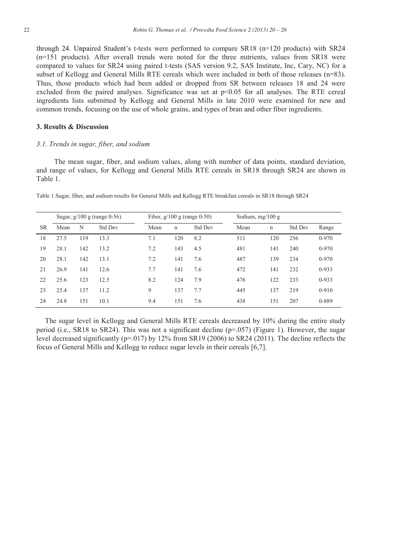through 24. Unpaired Student's t-tests were performed to compare  $SR18$  (n=120 products) with  $SR24$ (n=151 products). After overall trends were noted for the three nutrients, values from SR18 were compared to values for SR24 using paired t-tests (SAS version 9.2, SAS Institute, Inc, Cary, NC) for a subset of Kellogg and General Mills RTE cereals which were included in both of those releases (n=83). Thus, those products which had been added or dropped from SR between releases 18 and 24 were excluded from the paired analyses. Significance was set at  $p<0.05$  for all analyses. The RTE cereal ingredients lists submitted by Kellogg and General Mills in late 2010 were examined for new and common trends, focusing on the use of whole grains, and types of bran and other fiber ingredients.

## **3. Results & Discussion**

## *3.1. Trends in sugar, fiber, and sodium*

 The mean sugar, fiber, and sodium values, along with number of data points, standard deviation, and range of values, for Kellogg and General Mills RTE cereals in SR18 through SR24 are shown in Table 1.

|           |      |     | Sugar, $g/100 g$ (range 0-56) |      |     | Fiber, $g/100$ g (range 0-50) | Sodium, $mg/100 g$ |             |                |           |
|-----------|------|-----|-------------------------------|------|-----|-------------------------------|--------------------|-------------|----------------|-----------|
| <b>SR</b> | Mean | N   | <b>Std Dev</b>                | Mean | n   | <b>Std Dev</b>                | Mean               | $\mathbf n$ | <b>Std Dev</b> | Range     |
| 18        | 27.5 | 119 | 13.3                          | 7.1  | 120 | 8.2                           | 511                | 120         | 256            | $0 - 970$ |
| 19        | 28.1 | 142 | 13.2                          | 7.2  | 143 | 4.5                           | 481                | 141         | 240            | $0 - 970$ |
| 20        | 28.1 | 142 | 13.1                          | 7.2  | 141 | 7.6                           | 487                | 139         | 234            | $0 - 970$ |
| 21        | 26.9 | 141 | 12.6                          | 7.7  | 141 | 7.6                           | 472                | 141         | 232            | $0-933$   |
| 22        | 25.6 | 123 | 12.5                          | 8.2  | 124 | 7.9                           | 476                | 122         | 233            | $0-933$   |
| 23        | 25.4 | 137 | 11.2                          | 9    | 137 | 7.7                           | 445                | 137         | 219            | $0-910$   |
| 24        | 24.8 | 151 | 10.1                          | 9.4  | 151 | 7.6                           | 438                | 151         | 207            | 0-889     |

Table 1.Sugar, fiber, and sodium results for General Mills and Kellogg RTE breakfast cereals in SR18 through SR24

The sugar level in Kellogg and General Mills RTE cereals decreased by 10% during the entire study period (i.e., SR18 to SR24). This was not a significant decline ( $p=0.057$ ) (Figure 1). However, the sugar level decreased significantly (p=.017) by 12% from SR19 (2006) to SR24 (2011). The decline reflects the focus of General Mills and Kellogg to reduce sugar levels in their cereals [6,7].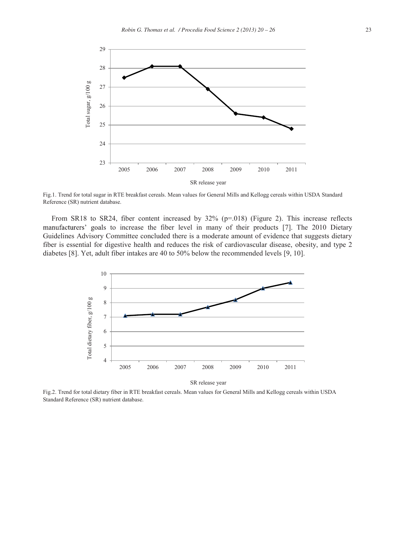

Fig.1. Trend for total sugar in RTE breakfast cereals. Mean values for General Mills and Kellogg cereals within USDA Standard Reference (SR) nutrient database.

From SR18 to SR24, fiber content increased by  $32\%$  (p=.018) (Figure 2). This increase reflects manufacturers' goals to increase the fiber level in many of their products [7]. The 2010 Dietary Guidelines Advisory Committee concluded there is a moderate amount of evidence that suggests dietary fiber is essential for digestive health and reduces the risk of cardiovascular disease, obesity, and type 2 diabetes [8]. Yet, adult fiber intakes are 40 to 50% below the recommended levels [9, 10].



SR release year

Fig.2. Trend for total dietary fiber in RTE breakfast cereals. Mean values for General Mills and Kellogg cereals within USDA Standard Reference (SR) nutrient database.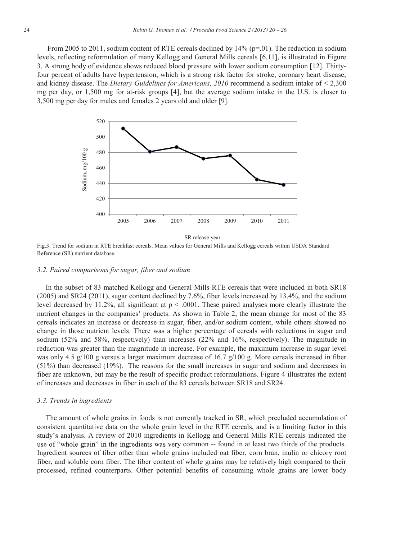From 2005 to 2011, sodium content of RTE cereals declined by  $14\%$  (p=.01). The reduction in sodium levels, reflecting reformulation of many Kellogg and General Mills cereals [6,11], is illustrated in Figure 3. A strong body of evidence shows reduced blood pressure with lower sodium consumption [12]. Thirtyfour percent of adults have hypertension, which is a strong risk factor for stroke, coronary heart disease, and kidney disease. The *Dietary Guidelines for Americans, 2010* recommend a sodium intake of < 2,300 mg per day, or 1,500 mg for at-risk groups [4], but the average sodium intake in the U.S. is closer to 3,500 mg per day for males and females 2 years old and older [9].



SR release year

Fig.3. Trend for sodium in RTE breakfast cereals. Mean values for General Mills and Kellogg cereals within USDA Standard Reference (SR) nutrient database.

#### *3.2. Paired comparisons for sugar, fiber and sodium*

In the subset of 83 matched Kellogg and General Mills RTE cereals that were included in both SR18 (2005) and SR24 (2011), sugar content declined by 7.6%, fiber levels increased by 13.4%, and the sodium level decreased by 11.2%, all significant at p < .0001. These paired analyses more clearly illustrate the nutrient changes in the companies' products. As shown in Table 2, the mean change for most of the 83 cereals indicates an increase or decrease in sugar, fiber, and/or sodium content, while others showed no change in those nutrient levels. There was a higher percentage of cereals with reductions in sugar and sodium (52% and 58%, respectively) than increases (22% and 16%, respectively). The magnitude in reduction was greater than the magnitude in increase. For example, the maximum increase in sugar level was only 4.5 g/100 g versus a larger maximum decrease of 16.7 g/100 g. More cereals increased in fiber (51%) than decreased (19%). The reasons for the small increases in sugar and sodium and decreases in fiber are unknown, but may be the result of specific product reformulations. Figure 4 illustrates the extent of increases and decreases in fiber in each of the 83 cereals between SR18 and SR24.

#### *3.3. Trends in ingredients*

The amount of whole grains in foods is not currently tracked in SR, which precluded accumulation of consistent quantitative data on the whole grain level in the RTE cereals, and is a limiting factor in this study's analysis. A review of 2010 ingredients in Kellogg and General Mills RTE cereals indicated the use of "whole grain" in the ingredients was very common -- found in at least two thirds of the products. Ingredient sources of fiber other than whole grains included oat fiber, corn bran, inulin or chicory root fiber, and soluble corn fiber. The fiber content of whole grains may be relatively high compared to their processed, refined counterparts. Other potential benefits of consuming whole grains are lower body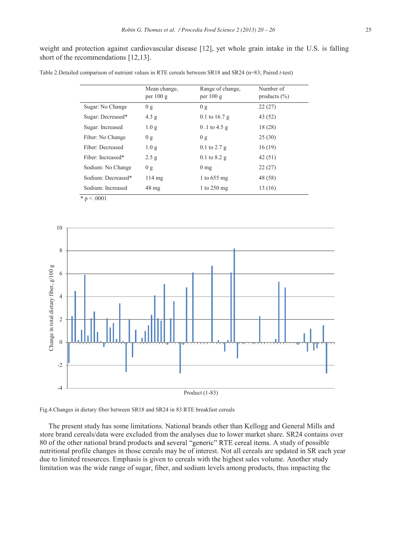weight and protection against cardiovascular disease [12], yet whole grain intake in the U.S. is falling short of the recommendations [12,13].

| Table 2.Detailed comparison of nutrient values in RTE cereals between SR18 and SR24 (n=83; Paired t-test) |  |  |  |  |
|-----------------------------------------------------------------------------------------------------------|--|--|--|--|
|-----------------------------------------------------------------------------------------------------------|--|--|--|--|

|                    | Mean change,<br>per $100 g$ | Range of change,<br>per $100 g$ | Number of<br>products $(\% )$ |
|--------------------|-----------------------------|---------------------------------|-------------------------------|
| Sugar: No Change   | 0 g                         | 0 g                             | 22(27)                        |
| Sugar: Decreased*  | 4.3 g                       | $0.1$ to 16.7 g                 | 43 (52)                       |
| Sugar: Increased   | 1.0 <sub>g</sub>            | $0.1$ to 4.5 g                  | 18(28)                        |
| Fiber: No Change   | 0 g                         | 0 g                             | 25(30)                        |
| Fiber: Decreased   | 1.0 <sub>g</sub>            | $0.1$ to $2.7$ g                | 16(19)                        |
| Fiber: Increased*  | 2.5 g                       | $0.1$ to $8.2$ g                | 42(51)                        |
| Sodium: No Change  | 0 g                         | $0 \text{ mg}$                  | 22(27)                        |
| Sodium: Decreased* | $114 \text{ mg}$            | 1 to $655$ mg                   | 48 (58)                       |
| Sodium: Increased  | $48 \text{ mg}$             | 1 to $250 \text{ mg}$           | 13 (16)                       |





The present study has some limitations. National brands other than Kellogg and General Mills and store brand cereals/data were excluded from the analyses due to lower market share. SR24 contains over 80 of the other national brand products and several "generic" RTE cereal items. A study of possible nutritional profile changes in those cereals may be of interest. Not all cereals are updated in SR each year due to limited resources. Emphasis is given to cereals with the highest sales volume. Another study limitation was the wide range of sugar, fiber, and sodium levels among products, thus impacting the